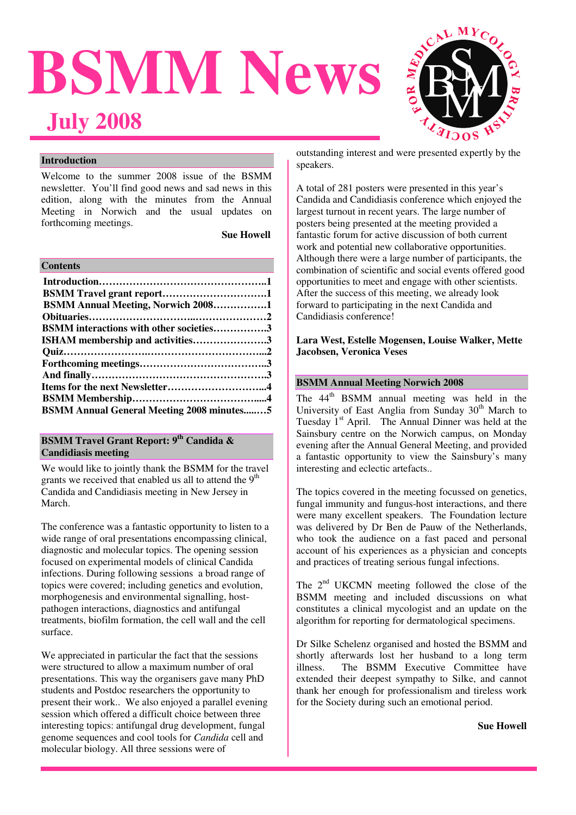# **BSMM News July 2008**



## **Introduction**

Welcome to the summer 2008 issue of the BSMM newsletter. You'll find good news and sad news in this edition, along with the minutes from the Annual Meeting in Norwich and the usual updates on forthcoming meetings.

**Sue Howell** 

| <b>Contents</b> |
|-----------------|
|-----------------|

| <b>BSMM Annual Meeting, Norwich 20081</b>        |  |
|--------------------------------------------------|--|
|                                                  |  |
| <b>BSMM</b> interactions with other societies3   |  |
| <b>ISHAM</b> membership and activities3          |  |
|                                                  |  |
|                                                  |  |
|                                                  |  |
|                                                  |  |
|                                                  |  |
| <b>BSMM Annual General Meeting 2008 minutes5</b> |  |

## **BSMM Travel Grant Report: 9th Candida & Candidiasis meeting**

We would like to jointly thank the BSMM for the travel grants we received that enabled us all to attend the  $9<sup>th</sup>$ Candida and Candidiasis meeting in New Jersey in March.

The conference was a fantastic opportunity to listen to a wide range of oral presentations encompassing clinical, diagnostic and molecular topics. The opening session focused on experimental models of clinical Candida infections. During following sessions a broad range of topics were covered; including genetics and evolution, morphogenesis and environmental signalling, hostpathogen interactions, diagnostics and antifungal treatments, biofilm formation, the cell wall and the cell surface.

We appreciated in particular the fact that the sessions were structured to allow a maximum number of oral presentations. This way the organisers gave many PhD students and Postdoc researchers the opportunity to present their work.. We also enjoyed a parallel evening session which offered a difficult choice between three interesting topics: antifungal drug development, fungal genome sequences and cool tools for *Candida* cell and molecular biology. All three sessions were of

outstanding interest and were presented expertly by the speakers.

A total of 281 posters were presented in this year's Candida and Candidiasis conference which enjoyed the largest turnout in recent years. The large number of posters being presented at the meeting provided a fantastic forum for active discussion of both current work and potential new collaborative opportunities. Although there were a large number of participants, the combination of scientific and social events offered good opportunities to meet and engage with other scientists. After the success of this meeting, we already look forward to participating in the next Candida and Candidiasis conference!

### **Lara West, Estelle Mogensen, Louise Walker, Mette Jacobsen, Veronica Veses**

## **BSMM Annual Meeting Norwich 2008**

The 44<sup>th</sup> BSMM annual meeting was held in the University of East Anglia from Sunday  $30<sup>th</sup>$  March to Tuesday 1<sup>st</sup> April. The Annual Dinner was held at the Sainsbury centre on the Norwich campus, on Monday evening after the Annual General Meeting, and provided a fantastic opportunity to view the Sainsbury's many interesting and eclectic artefacts..

The topics covered in the meeting focussed on genetics, fungal immunity and fungus-host interactions, and there were many excellent speakers. The Foundation lecture was delivered by Dr Ben de Pauw of the Netherlands, who took the audience on a fast paced and personal account of his experiences as a physician and concepts and practices of treating serious fungal infections.

The  $2<sup>nd</sup> UKCMN$  meeting followed the close of the BSMM meeting and included discussions on what constitutes a clinical mycologist and an update on the algorithm for reporting for dermatological specimens.

Dr Silke Schelenz organised and hosted the BSMM and shortly afterwards lost her husband to a long term illness. The BSMM Executive Committee have extended their deepest sympathy to Silke, and cannot thank her enough for professionalism and tireless work for the Society during such an emotional period.

 **Sue Howell**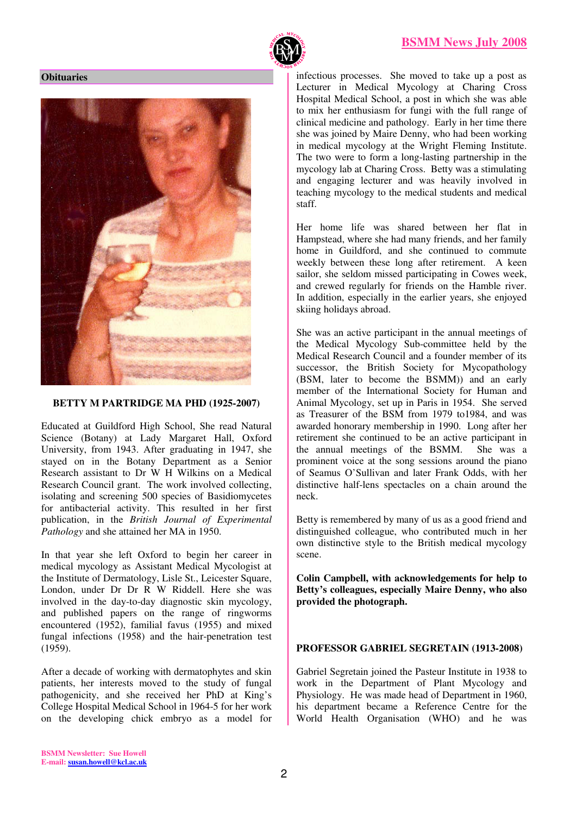

#### **Obituaries**



#### **BETTY M PARTRIDGE MA PHD (1925-2007)**

Educated at Guildford High School, She read Natural Science (Botany) at Lady Margaret Hall, Oxford University, from 1943. After graduating in 1947, she stayed on in the Botany Department as a Senior Research assistant to Dr W H Wilkins on a Medical Research Council grant. The work involved collecting, isolating and screening 500 species of Basidiomycetes for antibacterial activity. This resulted in her first publication, in the *British Journal of Experimental Pathology* and she attained her MA in 1950.

In that year she left Oxford to begin her career in medical mycology as Assistant Medical Mycologist at the Institute of Dermatology, Lisle St., Leicester Square, London, under Dr Dr R W Riddell. Here she was involved in the day-to-day diagnostic skin mycology, and published papers on the range of ringworms encountered (1952), familial favus (1955) and mixed fungal infections (1958) and the hair-penetration test (1959).

After a decade of working with dermatophytes and skin patients, her interests moved to the study of fungal pathogenicity, and she received her PhD at King's College Hospital Medical School in 1964-5 for her work on the developing chick embryo as a model for

infectious processes. She moved to take up a post as Lecturer in Medical Mycology at Charing Cross Hospital Medical School, a post in which she was able to mix her enthusiasm for fungi with the full range of clinical medicine and pathology. Early in her time there she was joined by Maire Denny, who had been working in medical mycology at the Wright Fleming Institute. The two were to form a long-lasting partnership in the mycology lab at Charing Cross. Betty was a stimulating and engaging lecturer and was heavily involved in teaching mycology to the medical students and medical staff.

Her home life was shared between her flat in Hampstead, where she had many friends, and her family home in Guildford, and she continued to commute weekly between these long after retirement. A keen sailor, she seldom missed participating in Cowes week, and crewed regularly for friends on the Hamble river. In addition, especially in the earlier years, she enjoyed skiing holidays abroad.

She was an active participant in the annual meetings of the Medical Mycology Sub-committee held by the Medical Research Council and a founder member of its successor, the British Society for Mycopathology (BSM, later to become the BSMM)) and an early member of the International Society for Human and Animal Mycology, set up in Paris in 1954. She served as Treasurer of the BSM from 1979 to1984, and was awarded honorary membership in 1990. Long after her retirement she continued to be an active participant in the annual meetings of the BSMM. She was a prominent voice at the song sessions around the piano of Seamus O'Sullivan and later Frank Odds, with her distinctive half-lens spectacles on a chain around the neck.

Betty is remembered by many of us as a good friend and distinguished colleague, who contributed much in her own distinctive style to the British medical mycology scene.

**Colin Campbell, with acknowledgements for help to Betty's colleagues, especially Maire Denny, who also provided the photograph.** 

#### **PROFESSOR GABRIEL SEGRETAIN (1913-2008)**

Gabriel Segretain joined the Pasteur Institute in 1938 to work in the Department of Plant Mycology and Physiology. He was made head of Department in 1960, his department became a Reference Centre for the World Health Organisation (WHO) and he was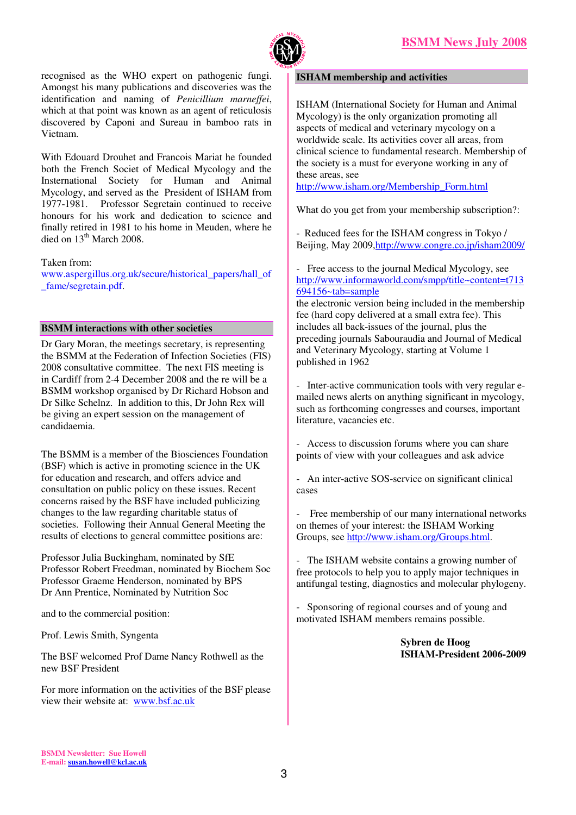

recognised as the WHO expert on pathogenic fungi. Amongst his many publications and discoveries was the identification and naming of *Penicillium marneffei*, which at that point was known as an agent of reticulosis discovered by Caponi and Sureau in bamboo rats in Vietnam.

With Edouard Drouhet and Francois Mariat he founded both the French Societ of Medical Mycology and the Insternational Society for Human and Animal Mycology, and served as the President of ISHAM from 1977-1981. Professor Segretain continued to receive honours for his work and dedication to science and finally retired in 1981 to his home in Meuden, where he died on  $13<sup>th</sup>$  March 2008.

Taken from:

www.aspergillus.org.uk/secure/historical\_papers/hall\_of \_fame/segretain.pdf.

### **BSMM interactions with other societies**

Dr Gary Moran, the meetings secretary, is representing the BSMM at the Federation of Infection Societies (FIS) 2008 consultative committee. The next FIS meeting is in Cardiff from 2-4 December 2008 and the re will be a BSMM workshop organised by Dr Richard Hobson and Dr Silke Schelnz. In addition to this, Dr John Rex will be giving an expert session on the management of candidaemia.

The BSMM is a member of the Biosciences Foundation (BSF) which is active in promoting science in the UK for education and research, and offers advice and consultation on public policy on these issues. Recent concerns raised by the BSF have included publicizing changes to the law regarding charitable status of societies. Following their Annual General Meeting the results of elections to general committee positions are:

Professor Julia Buckingham, nominated by SfE Professor Robert Freedman, nominated by Biochem Soc Professor Graeme Henderson, nominated by BPS Dr Ann Prentice, Nominated by Nutrition Soc

and to the commercial position:

Prof. Lewis Smith, Syngenta

The BSF welcomed Prof Dame Nancy Rothwell as the new BSF President

For more information on the activities of the BSF please view their website at: www.bsf.ac.uk

#### **ISHAM membership and activities**

ISHAM (International Society for Human and Animal Mycology) is the only organization promoting all aspects of medical and veterinary mycology on a worldwide scale. Its activities cover all areas, from clinical science to fundamental research. Membership of the society is a must for everyone working in any of these areas, see

http://www.isham.org/Membership\_Form.html

What do you get from your membership subscription?:

- Reduced fees for the ISHAM congress in Tokyo / Beijing, May 2009,http://www.congre.co.jp/isham2009/

- Free access to the journal Medical Mycology, see http://www.informaworld.com/smpp/title~content=t713  $\overline{694156}$ ~tab=sample

the electronic version being included in the membership fee (hard copy delivered at a small extra fee). This includes all back-issues of the journal, plus the preceding journals Sabouraudia and Journal of Medical and Veterinary Mycology, starting at Volume 1 published in 1962

- Inter-active communication tools with very regular emailed news alerts on anything significant in mycology, such as forthcoming congresses and courses, important literature, vacancies etc.

- Access to discussion forums where you can share points of view with your colleagues and ask advice

- An inter-active SOS-service on significant clinical cases

- Free membership of our many international networks on themes of your interest: the ISHAM Working Groups, see http://www.isham.org/Groups.html.

- The ISHAM website contains a growing number of free protocols to help you to apply major techniques in antifungal testing, diagnostics and molecular phylogeny.

- Sponsoring of regional courses and of young and motivated ISHAM members remains possible.

> **Sybren de Hoog ISHAM-President 2006-2009**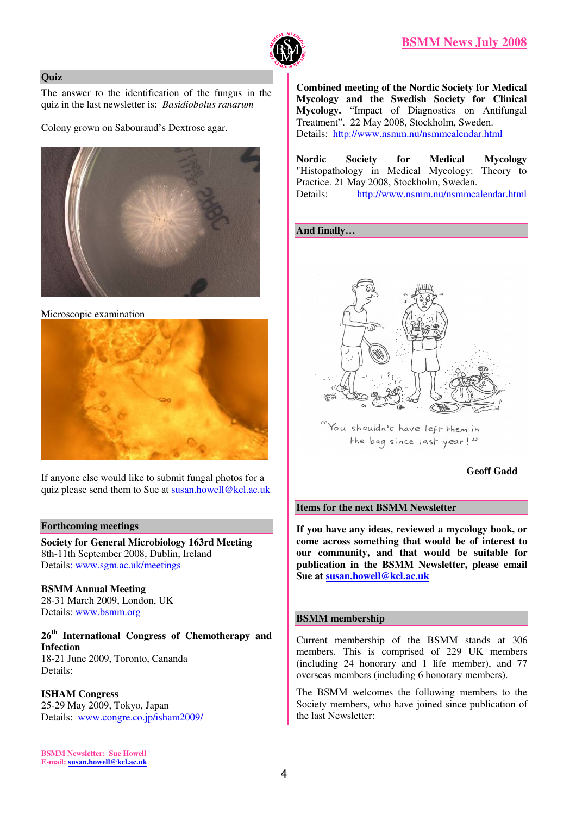



#### **Quiz**

The answer to the identification of the fungus in the quiz in the last newsletter is: *Basidiobolus ranarum* 

Colony grown on Sabouraud's Dextrose agar.



Microscopic examination



If anyone else would like to submit fungal photos for a quiz please send them to Sue at susan.howell@kcl.ac.uk

#### **Forthcoming meetings**

**Society for General Microbiology 163rd Meeting**  8th-11th September 2008, Dublin, Ireland Details: www.sgm.ac.uk/meetings

**BSMM Annual Meeting**  28-31 March 2009, London, UK Details: www.bsmm.org

**26th International Congress of Chemotherapy and Infection**  18-21 June 2009, Toronto, Cananda Details:

**ISHAM Congress**  25-29 May 2009, Tokyo, Japan Details: www.congre.co.jp/isham2009/

**Combined meeting of the Nordic Society for Medical Mycology and the Swedish Society for Clinical Mycology.** "Impact of Diagnostics on Antifungal Treatment". 22 May 2008, Stockholm, Sweden. Details: http://www.nsmm.nu/nsmmcalendar.html

**Nordic Society for Medical Mycology** "Histopathology in Medical Mycology: Theory to Practice. 21 May 2008, Stockholm, Sweden. Details: http://www.nsmm.nu/nsmmcalendar.html

#### **And finally…**



You shouldn't have left them in the bag since last year!"

#### **Geoff Gadd**

#### **Items for the next BSMM Newsletter**

**If you have any ideas, reviewed a mycology book, or come across something that would be of interest to our community, and that would be suitable for publication in the BSMM Newsletter, please email Sue at susan.howell@kcl.ac.uk** 

#### **BSMM membership**

Current membership of the BSMM stands at 306 members. This is comprised of 229 UK members (including 24 honorary and 1 life member), and 77 overseas members (including 6 honorary members).

The BSMM welcomes the following members to the Society members, who have joined since publication of the last Newsletter:

**BSMM Newsletter: Sue Howell E-mail: susan.howell@kcl.ac.uk**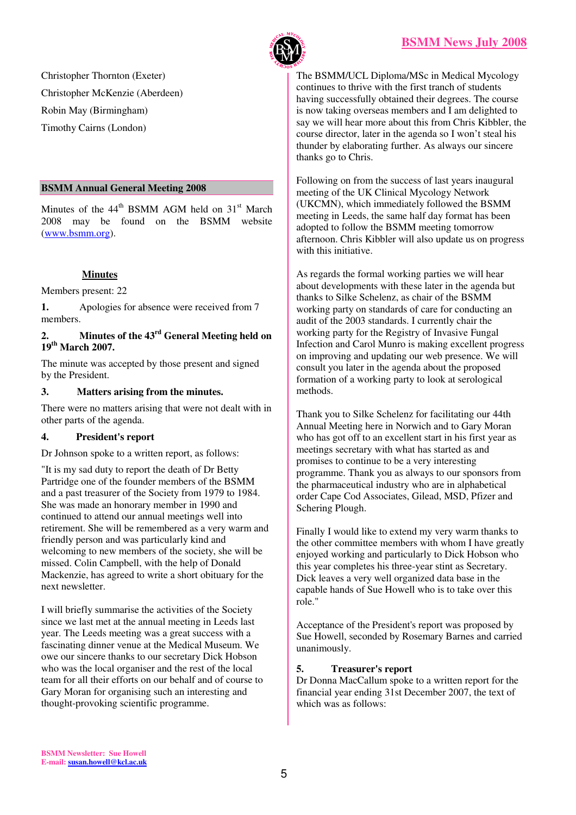

Christopher Thornton (Exeter) Christopher McKenzie (Aberdeen) Robin May (Birmingham) Timothy Cairns (London)

#### **BSMM Annual General Meeting 2008**

Minutes of the  $44<sup>th</sup>$  BSMM AGM held on  $31<sup>st</sup>$  March 2008 may be found on the BSMM website (www.bsmm.org).

## **Minutes**

Members present: 22

**1.** Apologies for absence were received from 7 members.

## **2. Minutes of the 43rd General Meeting held on 19th March 2007.**

The minute was accepted by those present and signed by the President.

### **3. Matters arising from the minutes.**

There were no matters arising that were not dealt with in other parts of the agenda.

## **4. President's report**

Dr Johnson spoke to a written report, as follows:

"It is my sad duty to report the death of Dr Betty Partridge one of the founder members of the BSMM and a past treasurer of the Society from 1979 to 1984. She was made an honorary member in 1990 and continued to attend our annual meetings well into retirement. She will be remembered as a very warm and friendly person and was particularly kind and welcoming to new members of the society, she will be missed. Colin Campbell, with the help of Donald Mackenzie, has agreed to write a short obituary for the next newsletter.

I will briefly summarise the activities of the Society since we last met at the annual meeting in Leeds last year. The Leeds meeting was a great success with a fascinating dinner venue at the Medical Museum. We owe our sincere thanks to our secretary Dick Hobson who was the local organiser and the rest of the local team for all their efforts on our behalf and of course to Gary Moran for organising such an interesting and thought-provoking scientific programme.

The BSMM/UCL Diploma/MSc in Medical Mycology continues to thrive with the first tranch of students having successfully obtained their degrees. The course is now taking overseas members and I am delighted to say we will hear more about this from Chris Kibbler, the course director, later in the agenda so I won't steal his thunder by elaborating further. As always our sincere thanks go to Chris.

Following on from the success of last years inaugural meeting of the UK Clinical Mycology Network (UKCMN), which immediately followed the BSMM meeting in Leeds, the same half day format has been adopted to follow the BSMM meeting tomorrow afternoon. Chris Kibbler will also update us on progress with this initiative.

As regards the formal working parties we will hear about developments with these later in the agenda but thanks to Silke Schelenz, as chair of the BSMM working party on standards of care for conducting an audit of the 2003 standards. I currently chair the working party for the Registry of Invasive Fungal Infection and Carol Munro is making excellent progress on improving and updating our web presence. We will consult you later in the agenda about the proposed formation of a working party to look at serological methods.

Thank you to Silke Schelenz for facilitating our 44th Annual Meeting here in Norwich and to Gary Moran who has got off to an excellent start in his first year as meetings secretary with what has started as and promises to continue to be a very interesting programme. Thank you as always to our sponsors from the pharmaceutical industry who are in alphabetical order Cape Cod Associates, Gilead, MSD, Pfizer and Schering Plough.

Finally I would like to extend my very warm thanks to the other committee members with whom I have greatly enjoyed working and particularly to Dick Hobson who this year completes his three-year stint as Secretary. Dick leaves a very well organized data base in the capable hands of Sue Howell who is to take over this role."

Acceptance of the President's report was proposed by Sue Howell, seconded by Rosemary Barnes and carried unanimously.

## **5. Treasurer's report**

Dr Donna MacCallum spoke to a written report for the financial year ending 31st December 2007, the text of which was as follows: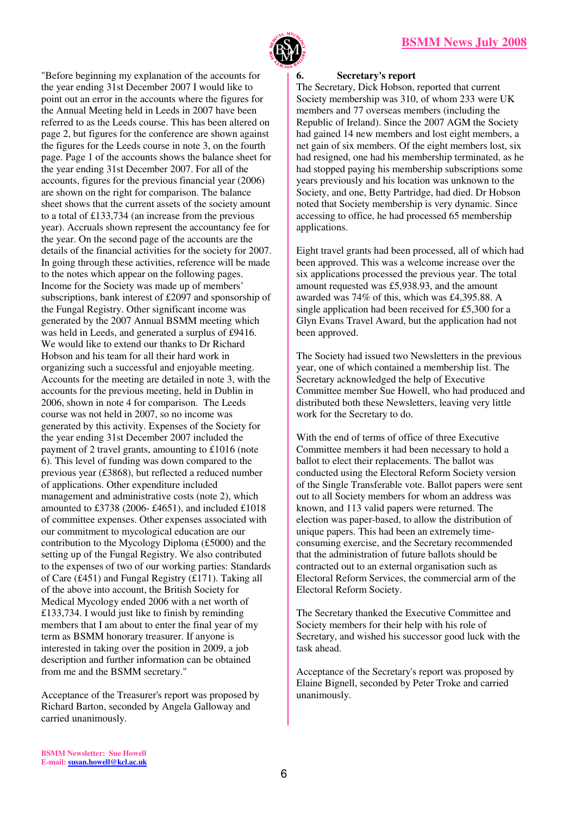

"Before beginning my explanation of the accounts for the year ending 31st December 2007 I would like to point out an error in the accounts where the figures for the Annual Meeting held in Leeds in 2007 have been referred to as the Leeds course. This has been altered on page 2, but figures for the conference are shown against the figures for the Leeds course in note 3, on the fourth page. Page 1 of the accounts shows the balance sheet for the year ending 31st December 2007. For all of the accounts, figures for the previous financial year (2006) are shown on the right for comparison. The balance sheet shows that the current assets of the society amount to a total of £133,734 (an increase from the previous year). Accruals shown represent the accountancy fee for the year. On the second page of the accounts are the details of the financial activities for the society for 2007. In going through these activities, reference will be made to the notes which appear on the following pages. Income for the Society was made up of members' subscriptions, bank interest of £2097 and sponsorship of the Fungal Registry. Other significant income was generated by the 2007 Annual BSMM meeting which was held in Leeds, and generated a surplus of £9416. We would like to extend our thanks to Dr Richard Hobson and his team for all their hard work in organizing such a successful and enjoyable meeting. Accounts for the meeting are detailed in note 3, with the accounts for the previous meeting, held in Dublin in 2006, shown in note 4 for comparison. The Leeds course was not held in 2007, so no income was generated by this activity. Expenses of the Society for the year ending 31st December 2007 included the payment of 2 travel grants, amounting to £1016 (note 6). This level of funding was down compared to the previous year (£3868), but reflected a reduced number of applications. Other expenditure included management and administrative costs (note 2), which amounted to £3738 (2006- £4651), and included £1018 of committee expenses. Other expenses associated with our commitment to mycological education are our contribution to the Mycology Diploma (£5000) and the setting up of the Fungal Registry. We also contributed to the expenses of two of our working parties: Standards of Care (£451) and Fungal Registry (£171). Taking all of the above into account, the British Society for Medical Mycology ended 2006 with a net worth of £133,734. I would just like to finish by reminding members that I am about to enter the final year of my term as BSMM honorary treasurer. If anyone is interested in taking over the position in 2009, a job description and further information can be obtained from me and the BSMM secretary."

Acceptance of the Treasurer's report was proposed by Richard Barton, seconded by Angela Galloway and carried unanimously.

#### **6. Secretary's report**

The Secretary, Dick Hobson, reported that current Society membership was 310, of whom 233 were UK members and 77 overseas members (including the Republic of Ireland). Since the 2007 AGM the Society had gained 14 new members and lost eight members, a net gain of six members. Of the eight members lost, six had resigned, one had his membership terminated, as he had stopped paying his membership subscriptions some years previously and his location was unknown to the Society, and one, Betty Partridge, had died. Dr Hobson noted that Society membership is very dynamic. Since accessing to office, he had processed 65 membership applications.

Eight travel grants had been processed, all of which had been approved. This was a welcome increase over the six applications processed the previous year. The total amount requested was £5,938.93, and the amount awarded was 74% of this, which was £4,395.88. A single application had been received for £5,300 for a Glyn Evans Travel Award, but the application had not been approved.

The Society had issued two Newsletters in the previous year, one of which contained a membership list. The Secretary acknowledged the help of Executive Committee member Sue Howell, who had produced and distributed both these Newsletters, leaving very little work for the Secretary to do.

With the end of terms of office of three Executive Committee members it had been necessary to hold a ballot to elect their replacements. The ballot was conducted using the Electoral Reform Society version of the Single Transferable vote. Ballot papers were sent out to all Society members for whom an address was known, and 113 valid papers were returned. The election was paper-based, to allow the distribution of unique papers. This had been an extremely timeconsuming exercise, and the Secretary recommended that the administration of future ballots should be contracted out to an external organisation such as Electoral Reform Services, the commercial arm of the Electoral Reform Society.

The Secretary thanked the Executive Committee and Society members for their help with his role of Secretary, and wished his successor good luck with the task ahead.

Acceptance of the Secretary's report was proposed by Elaine Bignell, seconded by Peter Troke and carried unanimously.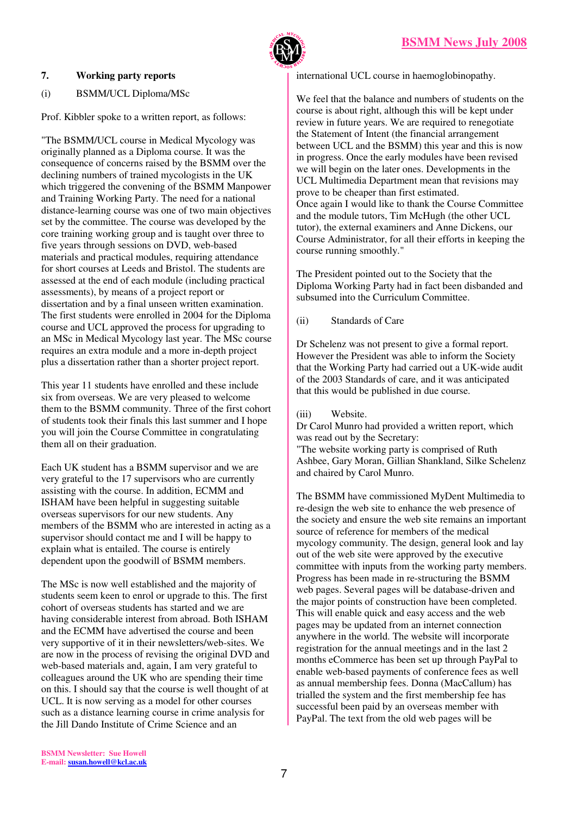

### **7. Working party reports**

## (i) BSMM/UCL Diploma/MSc

Prof. Kibbler spoke to a written report, as follows:

"The BSMM/UCL course in Medical Mycology was originally planned as a Diploma course. It was the consequence of concerns raised by the BSMM over the declining numbers of trained mycologists in the UK which triggered the convening of the BSMM Manpower and Training Working Party. The need for a national distance-learning course was one of two main objectives set by the committee. The course was developed by the core training working group and is taught over three to five years through sessions on DVD, web-based materials and practical modules, requiring attendance for short courses at Leeds and Bristol. The students are assessed at the end of each module (including practical assessments), by means of a project report or dissertation and by a final unseen written examination. The first students were enrolled in 2004 for the Diploma course and UCL approved the process for upgrading to an MSc in Medical Mycology last year. The MSc course requires an extra module and a more in-depth project plus a dissertation rather than a shorter project report.

This year 11 students have enrolled and these include six from overseas. We are very pleased to welcome them to the BSMM community. Three of the first cohort of students took their finals this last summer and I hope you will join the Course Committee in congratulating them all on their graduation.

Each UK student has a BSMM supervisor and we are very grateful to the 17 supervisors who are currently assisting with the course. In addition, ECMM and ISHAM have been helpful in suggesting suitable overseas supervisors for our new students. Any members of the BSMM who are interested in acting as a supervisor should contact me and I will be happy to explain what is entailed. The course is entirely dependent upon the goodwill of BSMM members.

The MSc is now well established and the majority of students seem keen to enrol or upgrade to this. The first cohort of overseas students has started and we are having considerable interest from abroad. Both ISHAM and the ECMM have advertised the course and been very supportive of it in their newsletters/web-sites. We are now in the process of revising the original DVD and web-based materials and, again, I am very grateful to colleagues around the UK who are spending their time on this. I should say that the course is well thought of at UCL. It is now serving as a model for other courses such as a distance learning course in crime analysis for the Jill Dando Institute of Crime Science and an

international UCL course in haemoglobinopathy.

We feel that the balance and numbers of students on the course is about right, although this will be kept under review in future years. We are required to renegotiate the Statement of Intent (the financial arrangement between UCL and the BSMM) this year and this is now in progress. Once the early modules have been revised we will begin on the later ones. Developments in the UCL Multimedia Department mean that revisions may prove to be cheaper than first estimated. Once again I would like to thank the Course Committee and the module tutors, Tim McHugh (the other UCL tutor), the external examiners and Anne Dickens, our Course Administrator, for all their efforts in keeping the course running smoothly."

The President pointed out to the Society that the Diploma Working Party had in fact been disbanded and subsumed into the Curriculum Committee.

### (ii) Standards of Care

Dr Schelenz was not present to give a formal report. However the President was able to inform the Society that the Working Party had carried out a UK-wide audit of the 2003 Standards of care, and it was anticipated that this would be published in due course.

#### (iii) Website.

Dr Carol Munro had provided a written report, which was read out by the Secretary:

"The website working party is comprised of Ruth Ashbee, Gary Moran, Gillian Shankland, Silke Schelenz and chaired by Carol Munro.

The BSMM have commissioned MyDent Multimedia to re-design the web site to enhance the web presence of the society and ensure the web site remains an important source of reference for members of the medical mycology community. The design, general look and lay out of the web site were approved by the executive committee with inputs from the working party members. Progress has been made in re-structuring the BSMM web pages. Several pages will be database-driven and the major points of construction have been completed. This will enable quick and easy access and the web pages may be updated from an internet connection anywhere in the world. The website will incorporate registration for the annual meetings and in the last 2 months eCommerce has been set up through PayPal to enable web-based payments of conference fees as well as annual membership fees. Donna (MacCallum) has trialled the system and the first membership fee has successful been paid by an overseas member with PayPal. The text from the old web pages will be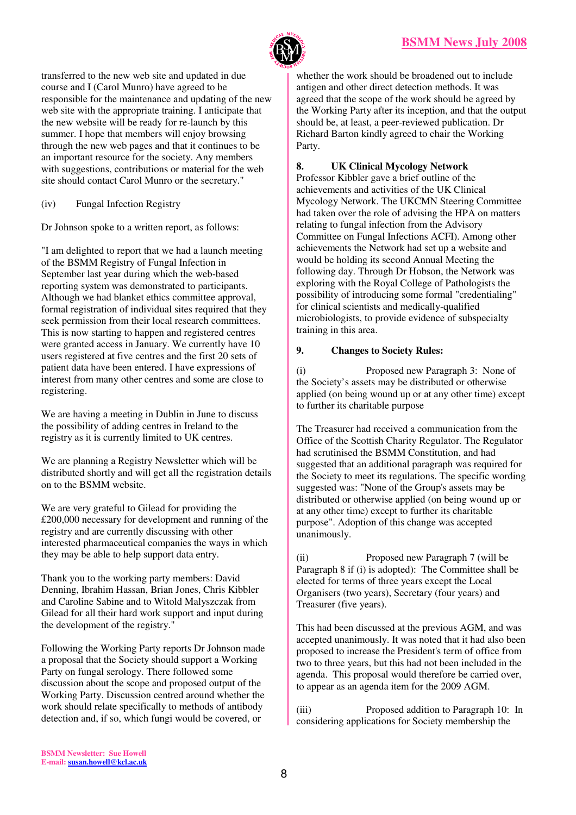

transferred to the new web site and updated in due course and I (Carol Munro) have agreed to be responsible for the maintenance and updating of the new web site with the appropriate training. I anticipate that the new website will be ready for re-launch by this summer. I hope that members will enjoy browsing through the new web pages and that it continues to be an important resource for the society. Any members with suggestions, contributions or material for the web site should contact Carol Munro or the secretary."

(iv) Fungal Infection Registry

Dr Johnson spoke to a written report, as follows:

"I am delighted to report that we had a launch meeting of the BSMM Registry of Fungal Infection in September last year during which the web-based reporting system was demonstrated to participants. Although we had blanket ethics committee approval, formal registration of individual sites required that they seek permission from their local research committees. This is now starting to happen and registered centres were granted access in January. We currently have 10 users registered at five centres and the first 20 sets of patient data have been entered. I have expressions of interest from many other centres and some are close to registering.

We are having a meeting in Dublin in June to discuss the possibility of adding centres in Ireland to the registry as it is currently limited to UK centres.

We are planning a Registry Newsletter which will be distributed shortly and will get all the registration details on to the BSMM website.

We are very grateful to Gilead for providing the £200,000 necessary for development and running of the registry and are currently discussing with other interested pharmaceutical companies the ways in which they may be able to help support data entry.

Thank you to the working party members: David Denning, Ibrahim Hassan, Brian Jones, Chris Kibbler and Caroline Sabine and to Witold Malyszczak from Gilead for all their hard work support and input during the development of the registry."

Following the Working Party reports Dr Johnson made a proposal that the Society should support a Working Party on fungal serology. There followed some discussion about the scope and proposed output of the Working Party. Discussion centred around whether the work should relate specifically to methods of antibody detection and, if so, which fungi would be covered, or

whether the work should be broadened out to include antigen and other direct detection methods. It was agreed that the scope of the work should be agreed by the Working Party after its inception, and that the output should be, at least, a peer-reviewed publication. Dr Richard Barton kindly agreed to chair the Working Party.

## **8. UK Clinical Mycology Network**

Professor Kibbler gave a brief outline of the achievements and activities of the UK Clinical Mycology Network. The UKCMN Steering Committee had taken over the role of advising the HPA on matters relating to fungal infection from the Advisory Committee on Fungal Infections ACFI). Among other achievements the Network had set up a website and would be holding its second Annual Meeting the following day. Through Dr Hobson, the Network was exploring with the Royal College of Pathologists the possibility of introducing some formal "credentialing" for clinical scientists and medically-qualified microbiologists, to provide evidence of subspecialty training in this area.

## **9. Changes to Society Rules:**

(i) Proposed new Paragraph 3: None of the Society's assets may be distributed or otherwise applied (on being wound up or at any other time) except to further its charitable purpose

The Treasurer had received a communication from the Office of the Scottish Charity Regulator. The Regulator had scrutinised the BSMM Constitution, and had suggested that an additional paragraph was required for the Society to meet its regulations. The specific wording suggested was: "None of the Group's assets may be distributed or otherwise applied (on being wound up or at any other time) except to further its charitable purpose". Adoption of this change was accepted unanimously.

(ii) Proposed new Paragraph 7 (will be Paragraph 8 if (i) is adopted): The Committee shall be elected for terms of three years except the Local Organisers (two years), Secretary (four years) and Treasurer (five years).

This had been discussed at the previous AGM, and was accepted unanimously. It was noted that it had also been proposed to increase the President's term of office from two to three years, but this had not been included in the agenda. This proposal would therefore be carried over, to appear as an agenda item for the 2009 AGM.

(iii) Proposed addition to Paragraph 10: In considering applications for Society membership the